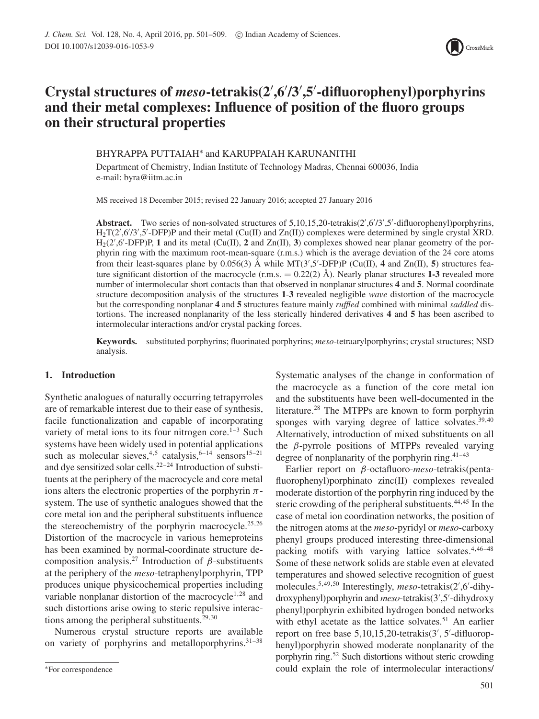

# **Crystal structures of** *meso***-tetrakis(2 ,6 /3 ,5 -difluorophenyl)porphyrins and their metal complexes: Influence of position of the fluoro groups on their structural properties**

BHYRAPPA PUTTAIAH∗ and KARUPPAIAH KARUNANITHI

Department of Chemistry, Indian Institute of Technology Madras, Chennai 600036, India e-mail: byra@iitm.ac.in

MS received 18 December 2015; revised 22 January 2016; accepted 27 January 2016

Abstract. Two series of non-solvated structures of 5,10,15,20-tetrakis(2',6'/3',5'-difluorophenyl)porphyrins,  $H_2T(2',6'/3',5'-DFP)P$  and their metal (Cu(II) and Zn(II)) complexes were determined by single crystal XRD.  $H_2(2', 6'$ -DFP)P, 1 and its metal (Cu(II), 2 and Zn(II), 3) complexes showed near planar geometry of the porphyrin ring with the maximum root-mean-square (r.m.s.) which is the average deviation of the 24 core atoms from their least-squares plane by  $0.056(3)$  Å while MT( $3'$ , $5'$ -DFP)P (Cu(II), **4** and Zn(II), **5**) structures feature significant distortion of the macrocycle  $(r.m.s. = 0.22(2)$  Å). Nearly planar structures 1-3 revealed more number of intermolecular short contacts than that observed in nonplanar structures **4** and **5**. Normal coordinate structure decomposition analysis of the structures **1**-**3** revealed negligible *wave* distortion of the macrocycle but the corresponding nonplanar **4** and **5** structures feature mainly *ruffled* combined with minimal *saddled* distortions. The increased nonplanarity of the less sterically hindered derivatives **4** and **5** has been ascribed to intermolecular interactions and/or crystal packing forces.

**Keywords.** substituted porphyrins; fluorinated porphyrins; *meso*-tetraarylporphyrins; crystal structures; NSD analysis.

## **1. Introduction**

Synthetic analogues of naturally occurring tetrapyrroles are of remarkable interest due to their ease of synthesis, facile functionalization and capable of incorporating variety of metal ions to its four nitrogen core.<sup>1–3</sup> Such systems have been widely used in potential applications such as molecular sieves,<sup>4,5</sup> catalysis,<sup>6-14</sup> sensors<sup>15-21</sup> and dye sensitized solar cells.<sup>22–24</sup> Introduction of substituents at the periphery of the macrocycle and core metal ions alters the electronic properties of the porphyrin *π*system. The use of synthetic analogues showed that the core metal ion and the peripheral substituents influence the stereochemistry of the porphyrin macrocycle.<sup>25,26</sup> Distortion of the macrocycle in various hemeproteins has been examined by normal-coordinate structure decomposition analysis.27 Introduction of *β*-substituents at the periphery of the *meso*-tetraphenylporphyrin, TPP produces unique physicochemical properties including variable nonplanar distortion of the macrocycle<sup>1,28</sup> and such distortions arise owing to steric repulsive interactions among the peripheral substituents.<sup>29,30</sup>

Numerous crystal structure reports are available on variety of porphyrins and metalloporphyrins. $31-38$ 

Systematic analyses of the change in conformation of the macrocycle as a function of the core metal ion and the substituents have been well-documented in the literature.<sup>28</sup> The MTPPs are known to form porphyrin sponges with varying degree of lattice solvates. $39,40$ Alternatively, introduction of mixed substituents on all the *β*-pyrrole positions of MTPPs revealed varying degree of nonplanarity of the porphyrin ring. $41-43$ 

Earlier report on *β*-octafluoro-*meso*-tetrakis(pentafluorophenyl)porphinato zinc(II) complexes revealed moderate distortion of the porphyrin ring induced by the steric crowding of the peripheral substituents.<sup>44,45</sup> In the case of metal ion coordination networks, the position of the nitrogen atoms at the *meso*-pyridyl or *meso*-carboxy phenyl groups produced interesting three-dimensional packing motifs with varying lattice solvates.<sup>4,46-48</sup> Some of these network solids are stable even at elevated temperatures and showed selective recognition of guest molecules.<sup>5,49,50</sup> Interestingly, *meso*-tetrakis(2',6'-dihydroxyphenyl)porphyrin and *meso*-tetrakis(3 ,5 -dihydroxy phenyl)porphyrin exhibited hydrogen bonded networks with ethyl acetate as the lattice solvates.<sup>51</sup> An earlier report on free base 5,10,15,20-tetrakis(3', 5'-difluorophenyl)porphyrin showed moderate nonplanarity of the porphyrin ring.52 Such distortions without steric crowding could explain the role of intermolecular interactions/

<sup>∗</sup>For correspondence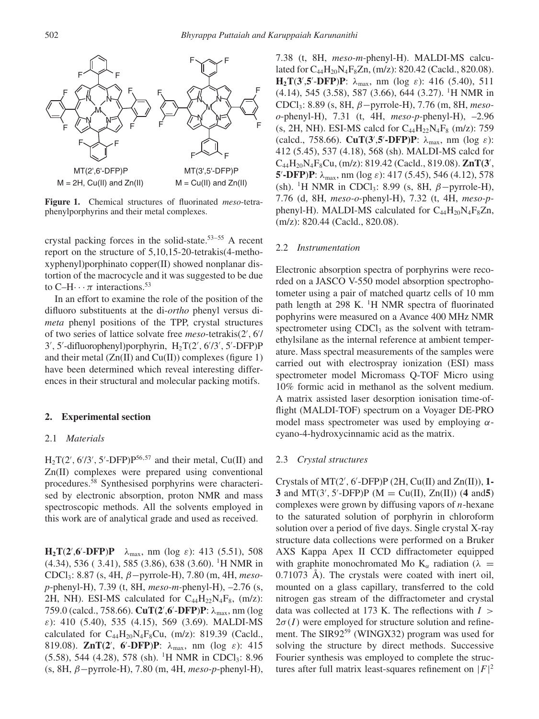

**Figure 1.** Chemical structures of fluorinated *meso*-tetraphenylporphyrins and their metal complexes.

crystal packing forces in the solid-state.<sup>53–55</sup> A recent report on the structure of 5,10,15-20-tetrakis(4-methoxyphenyl)porphinato copper(II) showed nonplanar distortion of the macrocycle and it was suggested to be due to  $C-H \cdots \pi$  interactions.<sup>53</sup>

In an effort to examine the role of the position of the difluoro substituents at the di-*ortho* phenyl versus di*meta* phenyl positions of the TPP, crystal structures of two series of lattice solvate free *meso*-tetrakis(2 *,* 6 / 3 *,* 5 -difluorophenyl)porphyrin, H2T(2 *,* 6 /3 *,* 5 -DFP)P and their metal  $(Zn(II))$  and  $Cu(II))$  complexes (figure 1) have been determined which reveal interesting differences in their structural and molecular packing motifs.

## **2. Experimental section**

## 2.1 *Materials*

 $H_2T(2', 6'/3', 5'-DFP)P^{56,57}$  and their metal, Cu(II) and Zn(II) complexes were prepared using conventional procedures.58 Synthesised porphyrins were characterised by electronic absorption, proton NMR and mass spectroscopic methods. All the solvents employed in this work are of analytical grade and used as received.

**H<sub>2</sub>T(2',6'-DFP)P**  $\lambda_{\text{max}}$ , nm (log *ε*): 413 (5.51), 508 (4.34), 536 ( 3.41), 585 (3.86), 638 (3.60). 1H NMR in CDCl3: 8.87 (s, 4H, *β*−pyrrole-H), 7.80 (m, 4H, *mesop*-phenyl-H), 7.39 (t, 8H, *meso-m-*phenyl-H), –2.76 (s, 2H, NH). ESI-MS calculated for  $C_{44}H_{22}N_4F_8$ , (m/z): 759.0 (calcd., 758.66). **CuT(2** ,**6** -**DFP**)**P**: *λ*max, nm (log *ε*): 410 (5.40), 535 (4.15), 569 (3.69). MALDI-MS calculated for  $C_{44}H_{20}N_4F_8Cu$ , (m/z): 819.39 (Cacld., 819.08). **ZnT(2** , **6** -**DFP**)**P**: *λ*max, nm (log *ε*): 415  $(5.58)$ , 544 (4.28), 578 (sh). <sup>1</sup>H NMR in CDCl<sub>3</sub>: 8.96 (s, 8H, *β*−pyrrole-H), 7.80 (m, 4H, *meso-p*-phenyl-H), 7.38 (t, 8H, *meso-m-*phenyl-H). MALDI-MS calculated for  $C_{44}H_{20}N_{4}F_{8}Zn$ , (m/z): 820.42 (Cacld., 820.08). **H<sub>2</sub>T(3',5'-DFP)P**:  $\lambda_{\text{max}}$ , nm (log *ε*): 416 (5.40), 511 (4.14), 545 (3.58), 587 (3.66), 644 (3.27). 1H NMR in CDCl3: 8.89 (s, 8H, *β*−pyrrole-H), 7.76 (m, 8H, *mesoo*-phenyl-H), 7.31 (t, 4H, *meso-p-*phenyl-H), –2.96 (s, 2H, NH). ESI-MS calcd for  $C_{44}H_{22}N_{4}F_{8}$  (m/z): 759 (calcd., 758.66). **CuT(3** ,**5 -DFP)P**: *λ*max, nm (log *ε*): 412 (5.45), 537 (4.18), 568 (sh). MALDI-MS calcd for C44H20N4F8Cu, (m/z): 819.42 (Cacld., 819.08). **ZnT(3** , **5'-DFP**)**P**:  $\lambda_{\text{max}}$ , nm (log *ε*): 417 (5.45), 546 (4.12), 578 (sh). 1H NMR in CDCl3: 8.99 (s, 8H, *β*−pyrrole-H), 7.76 (d, 8H, *meso-o*-phenyl-H), 7.32 (t, 4H, *meso-p*phenyl-H). MALDI-MS calculated for  $C_{44}H_{20}N_{4}F_{8}Zn$ , (m/z): 820.44 (Cacld., 820.08).

### 2.2 *Instrumentation*

Electronic absorption spectra of porphyrins were recorded on a JASCO V-550 model absorption spectrophotometer using a pair of matched quartz cells of 10 mm path length at 298 K.  $\rm{^1H}$  NMR spectra of fluorinated pophyrins were measured on a Avance 400 MHz NMR spectrometer using  $CDCl<sub>3</sub>$  as the solvent with tetramethylsilane as the internal reference at ambient temperature. Mass spectral measurements of the samples were carried out with electrospray ionization (ESI) mass spectrometer model Micromass Q-TOF Micro using 10% formic acid in methanol as the solvent medium. A matrix assisted laser desorption ionisation time-offlight (MALDI-TOF) spectrum on a Voyager DE-PRO model mass spectrometer was used by employing *α*cyano-4-hydroxycinnamic acid as the matrix.

## 2.3 *Crystal structures*

Crystals of MT(2 *,* 6 -DFP)P (2H, Cu(II) and Zn(II)), **1- 3** and  $MT(3', 5'-DFP)P (M = Cu(II), Zn(II))$  (**4** and **5**) complexes were grown by diffusing vapors of *n*-hexane to the saturated solution of porphyrin in chloroform solution over a period of five days. Single crystal X-ray structure data collections were performed on a Bruker AXS Kappa Apex II CCD diffractometer equipped with graphite monochromated Mo  $K_\alpha$  radiation ( $\lambda$  = 0.71073 Å). The crystals were coated with inert oil, mounted on a glass capillary, transferred to the cold nitrogen gas stream of the diffractometer and crystal data was collected at 173 K. The reflections with *I >*  $2\sigma(I)$  were employed for structure solution and refinement. The SIR92<sup>59</sup> (WINGX32) program was used for solving the structure by direct methods. Successive Fourier synthesis was employed to complete the structures after full matrix least-squares refinement on  $|F|^2$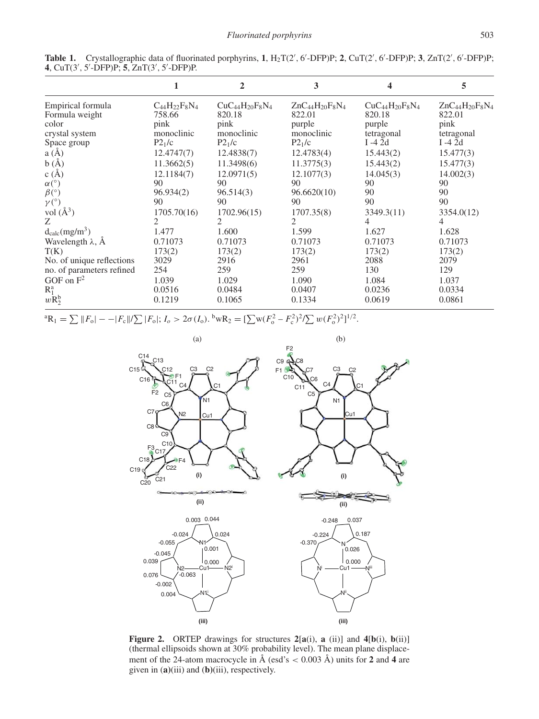|                                      |                      | $\overline{2}$         | 3                      | 4                      | 5                      |
|--------------------------------------|----------------------|------------------------|------------------------|------------------------|------------------------|
| Empirical formula                    | $C_{44}H_{22}F_8N_4$ | $CuC_{44}H_{20}F_8N_4$ | $ZnC_{44}H_{20}F_8N_4$ | $CuC_{44}H_{20}F_8N_4$ | $ZnC_{44}H_{20}F_8N_4$ |
| Formula weight                       | 758.66               | 820.18                 | 822.01                 | 820.18                 | 822.01                 |
| color                                | pink                 | pink                   | purple                 | purple                 | pink                   |
| crystal system                       | monoclinic           | monoclinic             | monoclinic             | tetragonal             | tetragonal             |
| Space group                          | P2 <sub>1</sub> /c   | P2 <sub>1</sub> /c     | P2 <sub>1</sub> /c     | I $-42d$               | I $-4$ 2d              |
| a(A)                                 | 12.4747(7)           | 12.4838(7)             | 12.4783(4)             | 15.443(2)              | 15.477(3)              |
| b(A)                                 | 11.3662(5)           | 11.3498(6)             | 11.3775(3)             | 15.443(2)              | 15.477(3)              |
| c(A)                                 | 12.1184(7)           | 12.0971(5)             | 12.1077(3)             | 14.045(3)              | 14.002(3)              |
| $\alpha$ <sup>(°)</sup>              | 90                   | 90                     | 90                     | 90                     | 90                     |
| $\beta$ <sup>(°)</sup>               | 96.934(2)            | 96.514(3)              | 96.6620(10)            | 90                     | 90                     |
| $\gamma$ <sup>(°)</sup>              | 90                   | 90                     | 90                     | 90                     | 90                     |
| vol $(\AA^3)$                        | 1705.70(16)          | 1702.96(15)            | 1707.35(8)             | 3349.3(11)             | 3354.0(12)             |
| Z                                    | 2                    | 2                      | 2                      | 4                      | 4                      |
| $d_{calc}(mg/m^3)$                   | 1.477                | 1.600                  | 1.599                  | 1.627                  | 1.628                  |
| Wavelength $\lambda$ , $\AA$         | 0.71073              | 0.71073                | 0.71073                | 0.71073                | 0.71073                |
| T(K)                                 | 173(2)               | 173(2)                 | 173(2)                 | 173(2)                 | 173(2)                 |
| No. of unique reflections            | 3029                 | 2916                   | 2961                   | 2088                   | 2079                   |
| no. of parameters refined            | 254                  | 259                    | 259                    | 130                    | 129                    |
| GOF on $F^2$                         | 1.039                | 1.029                  | 1.090                  | 1.084                  | 1.037                  |
| $R_1^a$                              | 0.0516               | 0.0484                 | 0.0407                 | 0.0236                 | 0.0334                 |
| $w\dot{\mathrm{R}}_{2}^{\mathrm{b}}$ | 0.1219               | 0.1065                 | 0.1334                 | 0.0619                 | 0.0861                 |

**Table 1.** Crystallographic data of fluorinated porphyrins,  $1$ ,  $H_2T(2', 6'-DFP)P$ ;  $2$ ,  $CuT(2', 6'-DFP)P$ ;  $3$ ,  $ZnT(2', 6'-DFP)P$ ; **4**, CuT(3 *,* 5 -DFP)P; **5**, ZnT(3 *,* 5 -DFP)P.

 ${}^{a}R_{1} = \sum ||F_{o}| - -|F_{c}||/\sum |F_{o}|; I_{o} > 2\sigma(I_{o})$ .  ${}^{b}wR_{2} = [\sum w(F_{o}^{2} - F_{c}^{2})^{2}/\sum w(F_{o}^{2})^{2}]^{1/2}$ .



**Figure 2.** ORTEP drawings for structures **2**[**a**(i), **a** (ii)] and **4**[**b**(i), **b**(ii)] (thermal ellipsoids shown at 30% probability level). The mean plane displacement of the 24-atom macrocycle in  $\AA$  (esd's  $< 0.003 \text{ Å}$ ) units for 2 and 4 are given in (**a)**(iii) and (**b)**(iii), respectively.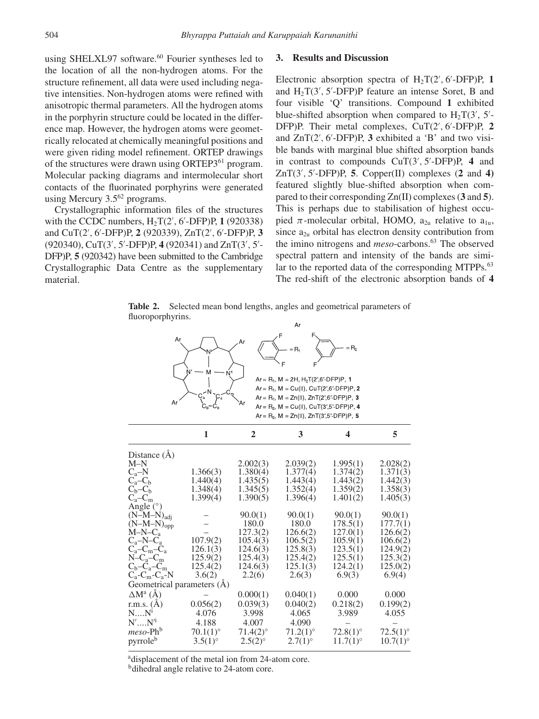using SHELXL97 software.<sup>60</sup> Fourier syntheses led to the location of all the non-hydrogen atoms. For the structure refinement, all data were used including negative intensities. Non-hydrogen atoms were refined with anisotropic thermal parameters. All the hydrogen atoms in the porphyrin structure could be located in the difference map. However, the hydrogen atoms were geometrically relocated at chemically meaningful positions and were given riding model refinement. ORTEP drawings of the structures were drawn using ORTEP3<sup>61</sup> program. Molecular packing diagrams and intermolecular short contacts of the fluorinated porphyrins were generated using Mercury 3.5<sup>62</sup> programs.

Crystallographic information files of the structures with the CCDC numbers,  $H_2T(2', 6'$ -DFP)P, 1 (920338) and CuT(2 *,* 6 -DFP)P, **2** (920339), ZnT(2 *,* 6 -DFP)P, **3** (920340), CuT(3', 5'-DFP)P, 4 (920341) and ZnT(3', 5'-DFP)P, **5** (920342) have been submitted to the Cambridge Crystallographic Data Centre as the supplementary material.

## **3. Results and Discussion**

Electronic absorption spectra of  $H_2T(2', 6'$ -DFP)P, 1 and  $H_2T(3', 5'-DFP)P$  feature an intense Soret, B and four visible 'Q' transitions. Compound **1** exhibited blue-shifted absorption when compared to  $H_2T(3', 5')$ DFP)P. Their metal complexes, CuT(2 *,* 6 -DFP)P, **2** and  $ZnT(2', 6'-DFP)P$ , **3** exhibited a 'B' and two visible bands with marginal blue shifted absorption bands in contrast to compounds CuT(3 *,* 5 -DFP)P, **4** and ZnT(3 *,* 5 -DFP)P, **5**. Copper(II) complexes (**2** and **4)** featured slightly blue-shifted absorption when compared to their corresponding Zn(II) complexes (**3** and **5**). This is perhaps due to stabilisation of highest occupied  $\pi$ -molecular orbital, HOMO,  $a_{2u}$  relative to  $a_{1u}$ , since  $a_{2u}$  orbital has electron density contribution from the imino nitrogens and *meso*-carbons.<sup>63</sup> The observed spectral pattern and intensity of the bands are similar to the reported data of the corresponding MTPPs.<sup>63</sup> The red-shift of the electronic absorption bands of **4**

**Table 2.** Selected mean bond lengths, angles and geometrical parameters of fluoroporphyrins. Ar

| Ar                       | Ar<br>$N^{\prime}$         | ۹r             | $=R_1$<br>Ar = R <sub>1</sub> , M = 2H, H <sub>2</sub> T(2',6'-DFP)P, 1<br>$Ar = R_1$ , $M = Cu(II)$ , $CuT(2', 6'-DFP)P$ , 2<br>$Ar = R_1$ , $M = Zn(II)$ , $ZnT(2', 6'-DFP)P$ , 3<br>$Ar = R_2$ , $M = Cu(II)$ , $CuT(3',5'-DFP)P$ , 4<br>$Ar = R_2$ , $M = Zn(II)$ , $ZnT(3',5'-DFP)P$ , 5 | = R,        |                 |
|--------------------------|----------------------------|----------------|-----------------------------------------------------------------------------------------------------------------------------------------------------------------------------------------------------------------------------------------------------------------------------------------------|-------------|-----------------|
|                          | 1                          | $\overline{2}$ | 3                                                                                                                                                                                                                                                                                             | 4           | 5               |
| Distance $(\AA)$<br>M–N  |                            | 2.002(3)       | 2.039(2)                                                                                                                                                                                                                                                                                      | 1.995(1)    | 2.028(2)        |
| $C_a-N$                  | 1.366(3)                   | 1.380(4)       | 1.377(4)                                                                                                                                                                                                                                                                                      | 1.374(2)    | 1.371(3)        |
| $C_a - C_b$              | 1.440(4)                   | 1.435(5)       | 1.443(4)                                                                                                                                                                                                                                                                                      | 1.443(2)    | 1.442(3)        |
| $C_h - C_h$              | 1.348(4)                   | 1.345(5)       | 1.352(4)                                                                                                                                                                                                                                                                                      | 1.359(2)    | 1.358(3)        |
| $C_a - C_m$              | 1.399(4)                   | 1.390(5)       | 1.396(4)                                                                                                                                                                                                                                                                                      | 1.401(2)    | 1.405(3)        |
| Angle $(°)$              |                            |                |                                                                                                                                                                                                                                                                                               |             |                 |
| $(N-M-N)_{\text{adj}}$   |                            | 90.0(1)        | 90.0(1)                                                                                                                                                                                                                                                                                       | 90.0(1)     | 90.0(1)         |
| $(N-M-N)_{opp}$          |                            | 180.0          | 180.0                                                                                                                                                                                                                                                                                         | 178.5(1)    | 177.7(1)        |
| $M-N-C_a$                |                            | 127.3(2)       | 126.6(2)                                                                                                                                                                                                                                                                                      | 127.0(1)    | 126.6(2)        |
| $C_a-N-C_a$              | 107.9(2)                   | 105.4(3)       | 106.5(2)                                                                                                                                                                                                                                                                                      | 105.9(1)    | 106.6(2)        |
| $C_a - C_m - C_a$        | 126.1(3)                   | 124.6(3)       | 125.8(3)                                                                                                                                                                                                                                                                                      | 123.5(1)    | 124.9(2)        |
| $N-C_a-C_m$              | 125.9(2)                   | 125.4(3)       | 125.4(2)                                                                                                                                                                                                                                                                                      | 125.5(1)    | 125.3(2)        |
| $C_b - C_a - C_m$        | 125.4(2)                   | 124.6(3)       | 125.1(3)                                                                                                                                                                                                                                                                                      | 124.2(1)    | 125.0(2)        |
| $C_a$ - $C_m$ - $C_a$ -N | 3.6(2)                     | 2.2(6)         | 2.6(3)                                                                                                                                                                                                                                                                                        | 6.9(3)      | 6.9(4)          |
|                          | Geometrical parameters (A) |                |                                                                                                                                                                                                                                                                                               |             |                 |
| $\Delta M^{\rm a}$ (Å)   |                            | 0.000(1)       | 0.040(1)                                                                                                                                                                                                                                                                                      | 0.000       | 0.000           |
| r.m.s. $(\check{A})$     | 0.056(2)                   | 0.039(3)       | 0.040(2)                                                                                                                                                                                                                                                                                      | 0.218(2)    | 0.199(2)        |
| NN <sup>1</sup>          | 4.076                      | 3.998          | 4.065                                                                                                                                                                                                                                                                                         | 3.989       | 4.055           |
| $N'N'^i$                 | 4.188                      | 4.007          | 4.090                                                                                                                                                                                                                                                                                         |             |                 |
| $meso-Phb$               | $70.1(1)$ °                | 71.4(2)°       | 71.2(1)°                                                                                                                                                                                                                                                                                      | $72.8(1)$ ° | $72.5(1)^\circ$ |
| pyrroleb                 | $3.5(1)^\circ$             | $2.5(2)^\circ$ | 2.7(1)°                                                                                                                                                                                                                                                                                       | 11.7(1)°    | $10.7(1)$ °     |
|                          |                            |                |                                                                                                                                                                                                                                                                                               |             |                 |

adisplacement of the metal ion from 24-atom core.

<sup>b</sup>dihedral angle relative to 24-atom core.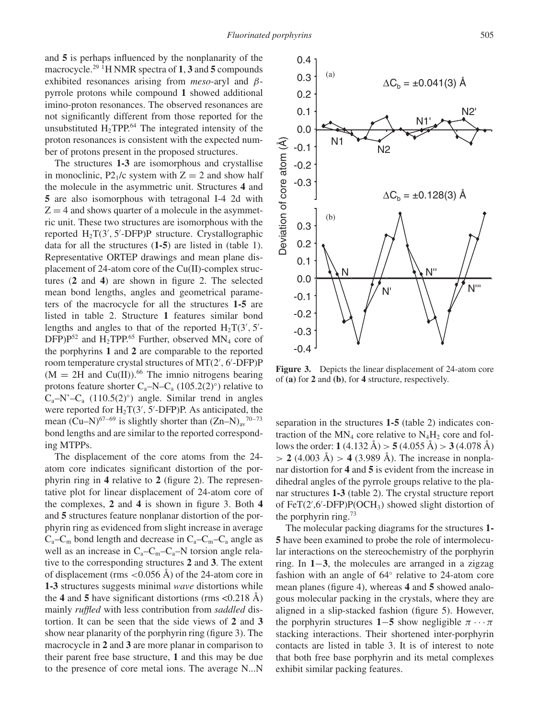and **5** is perhaps influenced by the nonplanarity of the macrocycle.29 1H NMR spectra of **1**, **3** and **5** compounds exhibited resonances arising from *meso*-aryl and *β*pyrrole protons while compound **1** showed additional imino-proton resonances. The observed resonances are not significantly different from those reported for the unsubstituted  $H_2 TPP^{64}$  The integrated intensity of the proton resonances is consistent with the expected number of protons present in the proposed structures.

The structures **1-3** are isomorphous and crystallise in monoclinic, P2<sub>1</sub>/c system with  $Z = 2$  and show half the molecule in the asymmetric unit. Structures **4** and **5** are also isomorphous with tetragonal I-4 2d with  $Z = 4$  and shows quarter of a molecule in the asymmetric unit. These two structures are isomorphous with the reported H2T(3 *,* 5 -DFP)P structure. Crystallographic data for all the structures (**1-5**) are listed in (table 1). Representative ORTEP drawings and mean plane displacement of 24-atom core of the Cu(II)-complex structures (**2** and **4**) are shown in figure 2. The selected mean bond lengths, angles and geometrical parameters of the macrocycle for all the structures **1-5** are listed in table 2. Structure **1** features similar bond lengths and angles to that of the reported  $H_2T(3', 5')$ DFP) $P^{52}$  and H<sub>2</sub>TPP.<sup>65</sup> Further, observed MN<sub>4</sub> core of the porphyrins **1** and **2** are comparable to the reported room temperature crystal structures of MT(2 *,* 6 -DFP)P  $(M = 2H$  and Cu(II)).<sup>66</sup> The imnio nitrogens bearing protons feature shorter  $C_a$ –N– $C_a$  (105.2(2)°) relative to  $C_a-N'-C_a$  (110.5(2)°) angle. Similar trend in angles were reported for  $H_2T(3', 5'$ -DFP)P. As anticipated, the mean (Cu–N)<sup>67–69</sup> is slightly shorter than  $(Zn-N)_{av}$ <sup>70–73</sup> bond lengths and are similar to the reported corresponding MTPPs.

The displacement of the core atoms from the 24 atom core indicates significant distortion of the porphyrin ring in **4** relative to **2** (figure 2). The representative plot for linear displacement of 24-atom core of the complexes, **2** and **4** is shown in figure 3. Both **4** and **5** structures feature nonplanar distortion of the porphyrin ring as evidenced from slight increase in average  $C_a-C_m$  bond length and decrease in  $C_a-C_m-C_a$  angle as well as an increase in  $C_a-C_m-C_a-N$  torsion angle relative to the corresponding structures **2** and **3**. The extent of displacement (rms *<*0.056 Å) of the 24-atom core in **1-3** structures suggests minimal *wave* distortions while the **4** and **5** have significant distortions (rms <0.218 Å) mainly *ruffled* with less contribution from *saddled* distortion. It can be seen that the side views of **2** and **3** show near planarity of the porphyrin ring (figure 3). The macrocycle in **2** and **3** are more planar in comparison to their parent free base structure, **1** and this may be due to the presence of core metal ions. The average N...N



**Figure 3.** Depicts the linear displacement of 24-atom core of **(a)** for **2** and **(b)**, for **4** structure, respectively.

separation in the structures **1-5** (table 2) indicates contraction of the  $MN_4$  core relative to  $N_4H_2$  core and follows the order: **1** (4.132 Å)  $> 5$  (4.055 Å)  $> 3$  (4.078 Å) *>* **2** (4.003 Å) *>* **4** (3.989 Å). The increase in nonplanar distortion for **4** and **5** is evident from the increase in dihedral angles of the pyrrole groups relative to the planar structures **1-3** (table 2). The crystal structure report of FeT(2',6'-DFP)P(OCH<sub>3</sub>) showed slight distortion of the porphyrin ring.73

The molecular packing diagrams for the structures **1- 5** have been examined to probe the role of intermolecular interactions on the stereochemistry of the porphyrin ring. In **1**−**3**, the molecules are arranged in a zigzag fashion with an angle of 64◦ relative to 24-atom core mean planes (figure 4), whereas **4** and **5** showed analogous molecular packing in the crystals, where they are aligned in a slip-stacked fashion (figure 5). However, the porphyrin structures 1–5 show negligible  $\pi \cdots \pi$ stacking interactions. Their shortened inter-porphyrin contacts are listed in table 3. It is of interest to note that both free base porphyrin and its metal complexes exhibit similar packing features.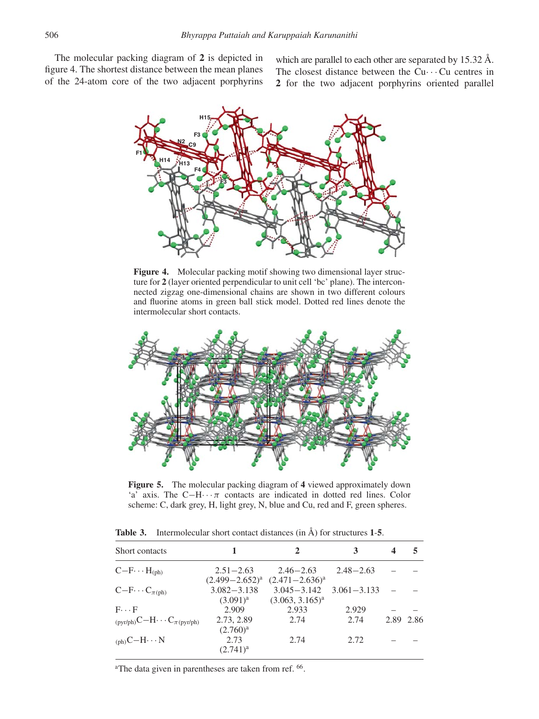The molecular packing diagram of **2** is depicted in figure 4. The shortest distance between the mean planes of the 24-atom core of the two adjacent porphyrins

which are parallel to each other are separated by 15.32 Å. The closest distance between the  $Cu \cdots Cu$  centres in **2** for the two adjacent porphyrins oriented parallel



Figure 4. Molecular packing motif showing two dimensional layer structure for **2** (layer oriented perpendicular to unit cell 'bc' plane). The interconnected zigzag one-dimensional chains are shown in two different colours and fluorine atoms in green ball stick model. Dotted red lines denote the intermolecular short contacts.



**Figure 5.** The molecular packing diagram of **4** viewed approximately down 'a' axis. The C−H··· *π* contacts are indicated in dotted red lines. Color scheme: C, dark grey, H, light grey, N, blue and Cu, red and F, green spheres.

|               | $\mathbf{2}$                                                     | 3                                                                     | 4                        | 5 |
|---------------|------------------------------------------------------------------|-----------------------------------------------------------------------|--------------------------|---|
| $2.51 - 2.63$ | $2.46 - 2.63$                                                    | $2.48 - 2.63$                                                         |                          |   |
|               |                                                                  |                                                                       |                          |   |
|               |                                                                  |                                                                       |                          |   |
|               |                                                                  |                                                                       |                          |   |
|               |                                                                  |                                                                       |                          |   |
| 2.73, 2.89    | 2.74                                                             | 2.74                                                                  | 2.89 2.86                |   |
| $(2.760)^{a}$ |                                                                  |                                                                       |                          |   |
| 2.73          | 2.74                                                             | 2.72                                                                  |                          |   |
| $(2.741)^{a}$ |                                                                  |                                                                       |                          |   |
|               | $(2.499 - 2.652)^a$<br>$3.082 - 3.138$<br>$(3.091)^{a}$<br>2.909 | $(2.471 - 2.636)^a$<br>$3.045 - 3.142$<br>$(3.063, 3.165)^a$<br>2.933 | $3.061 - 3.133$<br>2.929 |   |

**Table 3.** Intermolecular short contact distances (in Å) for structures **1**-**5**.

<sup>a</sup>The data given in parentheses are taken from ref. <sup>66</sup>.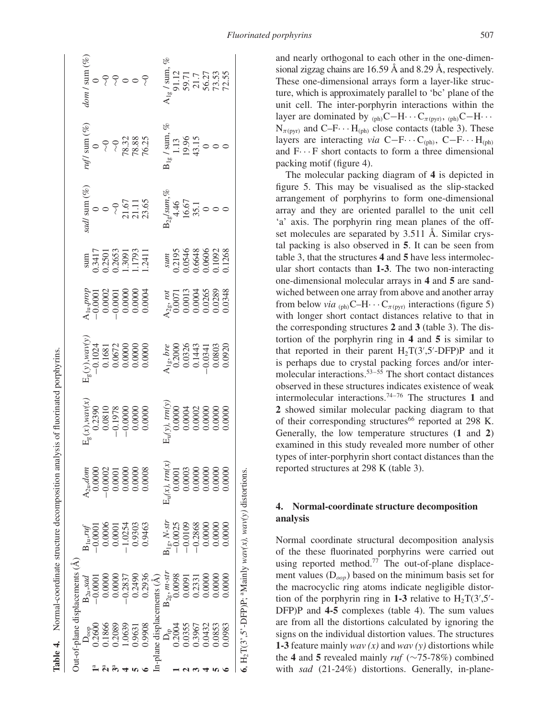|                                               | Out-of-plane displacements (A         |                                                                                                                                                     |                                                                                 |                                                                                             |                                                                                                          |                                                                                                                                                                                                                                                                                                                                                                                                                               |                                                                |                                                                                                                                            |                                                                |                                                                                          |
|-----------------------------------------------|---------------------------------------|-----------------------------------------------------------------------------------------------------------------------------------------------------|---------------------------------------------------------------------------------|---------------------------------------------------------------------------------------------|----------------------------------------------------------------------------------------------------------|-------------------------------------------------------------------------------------------------------------------------------------------------------------------------------------------------------------------------------------------------------------------------------------------------------------------------------------------------------------------------------------------------------------------------------|----------------------------------------------------------------|--------------------------------------------------------------------------------------------------------------------------------------------|----------------------------------------------------------------|------------------------------------------------------------------------------------------|
| $\mathbf{D}_{\text{opp}}$                     |                                       |                                                                                                                                                     |                                                                                 |                                                                                             |                                                                                                          |                                                                                                                                                                                                                                                                                                                                                                                                                               |                                                                |                                                                                                                                            |                                                                | dom / sum (%)                                                                            |
| 0.2600                                        | $B_{2u}$ , sad<br>-0.0001             |                                                                                                                                                     |                                                                                 |                                                                                             |                                                                                                          |                                                                                                                                                                                                                                                                                                                                                                                                                               |                                                                |                                                                                                                                            |                                                                |                                                                                          |
| 0.1866                                        | 0.0000                                |                                                                                                                                                     |                                                                                 |                                                                                             |                                                                                                          |                                                                                                                                                                                                                                                                                                                                                                                                                               |                                                                |                                                                                                                                            |                                                                |                                                                                          |
| 0.2089                                        | 0.0000                                |                                                                                                                                                     |                                                                                 |                                                                                             |                                                                                                          |                                                                                                                                                                                                                                                                                                                                                                                                                               |                                                                |                                                                                                                                            |                                                                |                                                                                          |
| 1.0639                                        | $-0.2837$                             | $\begin{array}{l} \rm B_{1n} r f f \\ \rm -0.0001 \\ \rm -0.0006 \\ \rm 0.0001 \\ \rm 0.0001 \\ \rm 0.0254 \\ \rm 0.9303 \\ \rm 0.9463 \end{array}$ | $\lambda_{2a}, dom$<br>$0.0000$<br>$0.0001$<br>$0.0000$<br>$0.0000$<br>$0.0008$ |                                                                                             | $T_{\rm g}^{(y)},$ war $y_{\rm c}^{(y)}$<br>$-0.1024$<br>$0.1681$<br>$0.0672$<br>0.0000<br>0.0000        | $\begin{array}{l} \mathbf{p} \mathbf{p} \mathbf{p} \mathbf{p} \ \mathbf{p} \ \mathbf{p} \ \mathbf{p} \ \mathbf{p} \ \mathbf{p} \ \mathbf{p} \ \mathbf{p} \ \mathbf{p} \ \mathbf{p} \ \mathbf{p} \ \mathbf{p} \ \mathbf{p} \ \mathbf{p} \ \mathbf{p} \ \mathbf{p} \ \mathbf{p} \ \mathbf{p} \ \mathbf{p} \ \mathbf{p} \ \mathbf{p} \ \mathbf{p} \ \mathbf{p} \ \mathbf{p} \ \mathbf{p} \ \mathbf{p} \ \mathbf{p} \ \mathbf{p}$ | sum<br>0.3417<br>0.2501<br>0.2653<br>1.3091<br>1.793<br>1.1793 |                                                                                                                                            |                                                                | 00000000                                                                                 |
| 0.9631                                        | 0.2490                                |                                                                                                                                                     |                                                                                 |                                                                                             |                                                                                                          |                                                                                                                                                                                                                                                                                                                                                                                                                               |                                                                |                                                                                                                                            |                                                                |                                                                                          |
| 0.9908                                        | 0.2936                                |                                                                                                                                                     |                                                                                 | $E_g(x)$ , $\mu$ ar/x, $0.2390$<br>$0.2390$<br>$0.0810$<br>$-0.1978$<br>$-0.0000$<br>0.0000 |                                                                                                          |                                                                                                                                                                                                                                                                                                                                                                                                                               |                                                                | sad/ sum (%)<br>0<br>0<br>0<br>0<br>21.67<br>21.11<br>23.65                                                                                | ruf1 sum (%)<br>0<br>~0<br>~0<br>~0<br>78.32<br>78.38<br>76.25 |                                                                                          |
| -plane displacements $(\hat{A})$              |                                       |                                                                                                                                                     |                                                                                 |                                                                                             |                                                                                                          |                                                                                                                                                                                                                                                                                                                                                                                                                               |                                                                |                                                                                                                                            |                                                                |                                                                                          |
|                                               | $\mathrm{B}_{2 \mathrm{g}},$ $m$ -str |                                                                                                                                                     | $E_u(x)$ , trn(x)                                                               |                                                                                             |                                                                                                          |                                                                                                                                                                                                                                                                                                                                                                                                                               |                                                                | $\begin{array}{r}\n \stackrel{\text{3.2g/}sum, \%}{24.46} \\  \stackrel{\text{4.46}}{16.67} \\  \stackrel{\text{5.7}}{35.1}\n \end{array}$ |                                                                |                                                                                          |
|                                               | 0.0098                                |                                                                                                                                                     |                                                                                 |                                                                                             |                                                                                                          |                                                                                                                                                                                                                                                                                                                                                                                                                               |                                                                |                                                                                                                                            |                                                                |                                                                                          |
| D <sub>ip</sub><br>0.2004<br>0.0355<br>0.0432 | 0.0091                                | $\begin{array}{l} \mathbf{A_4, N\text{-}str} \\ -0.0025 \\ -0.0109 \\ -0.2868 \\ 0.0000 \\ 0.0000 \\ \end{array}$                                   | $0.0001$<br>$0.0000$<br>$0.0000$<br>$0.0000$<br>$0.0000$                        |                                                                                             | $\lambda_{1\rm g}, \ b{\rm re} \over 0.2000$<br>$0.0326$<br>$0.1443$<br>$0.1443$<br>$0.0803$<br>$0.0920$ | $\frac{\text{M2}_{29}, \text{rot}}{0.0011} \ \frac{0.0013}{0.0004} \ \frac{0.0004}{0.0265} \ \frac{0.0004}{0.0348} \ \frac{0.0004}{0.0348} \ \frac{0.0004}{0.0004} \ \frac{0.0004}{0.0004} \ \frac{0.0004}{0.0004} \ \frac{0.0004}{0.0004} \ \frac{0.0004}{0.0004} \ \frac{0.0004}{0.0004} \ \frac{0.0004}{0.000$                                                                                                             | sum<br>0.2195<br>0.0546<br>0.06648<br>0.0606<br>0.1268         |                                                                                                                                            | $B_{1g}$ / sum,<br>1.13<br>19.96<br>19.5<br>43.15<br>0<br>0    | $A_{1g}/$ sum, $91.12$<br>$91.12$<br>$59.71$<br>$50.71$<br>$56.27$<br>$73.53$<br>$72.55$ |
|                                               | 0.2331                                |                                                                                                                                                     |                                                                                 |                                                                                             |                                                                                                          |                                                                                                                                                                                                                                                                                                                                                                                                                               |                                                                |                                                                                                                                            |                                                                |                                                                                          |
|                                               | 0.0000                                |                                                                                                                                                     |                                                                                 |                                                                                             |                                                                                                          |                                                                                                                                                                                                                                                                                                                                                                                                                               |                                                                |                                                                                                                                            |                                                                |                                                                                          |
| 0.0853                                        | 0.0000                                |                                                                                                                                                     |                                                                                 |                                                                                             |                                                                                                          |                                                                                                                                                                                                                                                                                                                                                                                                                               |                                                                |                                                                                                                                            |                                                                |                                                                                          |
| 0.0983                                        | 00000                                 | 0.0000                                                                                                                                              |                                                                                 |                                                                                             |                                                                                                          |                                                                                                                                                                                                                                                                                                                                                                                                                               |                                                                |                                                                                                                                            |                                                                |                                                                                          |
|                                               |                                       | <b>6.</b> H <sub>2</sub> T(3', 5'-DFP)P; <sup>a</sup> Mainly $wav(x)$ , $wav(y)$ distortions.                                                       |                                                                                 |                                                                                             |                                                                                                          |                                                                                                                                                                                                                                                                                                                                                                                                                               |                                                                |                                                                                                                                            |                                                                |                                                                                          |

**Table 4.** Normal-coordinate structure decomposition analysis of fluorinated porphyrins.

**Table 4.** Normal-coordinate structure decomposition analysis of fluorinated porphyrins.

and nearly orthogonal to each other in the one-dimensional zigzag chains are 16.59 Å and 8.29 Å, respectively. These one-dimensional arrays form a layer-like structure, which is approximately parallel to 'bc' plane of the unit cell. The inter-porphyrin interactions within the layer are dominated by  $_{(ph)}C-H\cdots C_{\pi(pyr)}$ ,  $_{(ph)}C-H\cdots$  $N_{\pi(\text{pvr})}$  and C–F $\cdots$  H<sub>(ph)</sub> close contacts (table 3). These layers are interacting *via* C−F··· C*(*ph*)*, C−F··· H*(*ph*)* and  $F \cdots F$  short contacts to form a three dimensional packing motif (figure 4).

The molecular packing diagram of **4** is depicted in figure 5. This may be visualised as the slip-stacked arrangement of porphyrins to form one-dimensional array and they are oriented parallel to the unit cell 'a' axis. The porphyrin ring mean planes of the offset molecules are separated by 3.511 Å. Similar crystal packing is also observed in **5**. It can be seen from table 3, that the structures **4** and **5** have less intermolecular short contacts than **1-3**. The two non-interacting one-dimensional molecular arrays in **4** and **5** are sandwiched between one array from above and another array from below *via*  $_{(ph)}C-H\cdots C_{\pi(pyr)}$  interactions (figure 5) with longer short contact distances relative to that in the corresponding structures **2** and **3** (table 3). The distortion of the porphyrin ring in **4** and **5** is similar to that reported in their parent  $H_2T(3',5'-DFP)P$  and it is perhaps due to crystal packing forces and/or intermolecular interactions.53–55 The short contact distances observed in these structures indicates existence of weak intermolecular interactions.74–76 The structures **1** and **2** showed similar molecular packing diagram to that of their corresponding structures<sup>66</sup> reported at 298 K. Generally, the low temperature structures (**1** and **2**) examined in this study revealed more number of other types of inter-porphyrin short contact distances than the reported structures at 298 K (table 3).

## **4. Normal-coordinate structure decomposition analysis**

Normal coordinate structural decomposition analysis of the these fluorinated porphyrins were carried out using reported method.<sup>77</sup> The out-of-plane displacement values (D*oop*) based on the minimum basis set for the macrocyclic ring atoms indicate negligible distortion of the porphyrin ring in 1-3 relative to  $H_2T(3',5')$ DFP)P and **4-5** complexes (table 4). The sum values are from all the distortions calculated by ignoring the signs on the individual distortion values. The structures **1-3** feature mainly *wav (x)* and *wav (y)* distortions while the **4** and **5** revealed mainly *ruf* (∼75-78%) combined with *sad* (21-24%) distortions. Generally, in-plane-

**6**,  $H_2T(3^2, 5^2-DFP)P$ ; <sup>a</sup>Mainly  $wav(x)$ ,  $wav(y)$  distortions.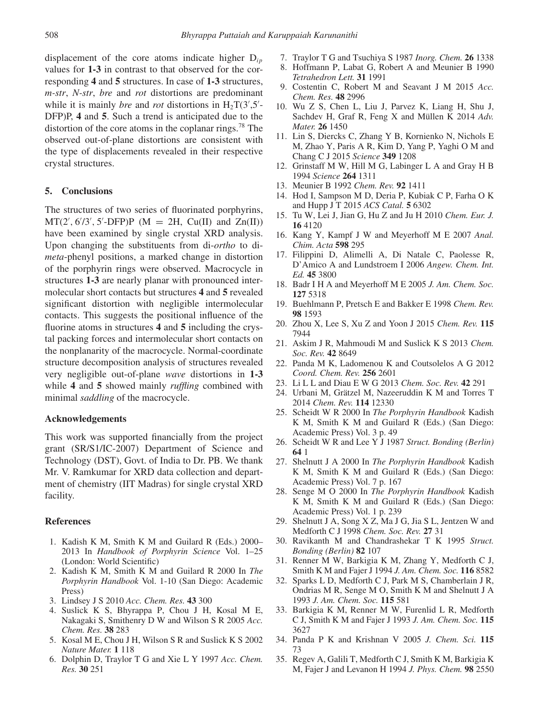displacement of the core atoms indicate higher D*ip* values for **1-3** in contrast to that observed for the corresponding **4** and **5** structures. In case of **1-3** structures, *m-str*, *N-str*, *bre* and *rot* distortions are predominant while it is mainly *bre* and *rot* distortions in  $H_2T(3',5')$ DFP)P, **4** and **5**. Such a trend is anticipated due to the distortion of the core atoms in the coplanar rings.<sup>78</sup> The observed out-of-plane distortions are consistent with the type of displacements revealed in their respective crystal structures.

#### **5. Conclusions**

The structures of two series of fluorinated porphyrins,  $MT(2', 6/3', 5'-DFP)P (M = 2H, Cu(II) and Zn(II))$ have been examined by single crystal XRD analysis. Upon changing the substituents from di-*ortho* to di*meta*-phenyl positions, a marked change in distortion of the porphyrin rings were observed. Macrocycle in structures **1-3** are nearly planar with pronounced intermolecular short contacts but structures **4** and **5** revealed significant distortion with negligible intermolecular contacts. This suggests the positional influence of the fluorine atoms in structures **4** and **5** including the crystal packing forces and intermolecular short contacts on the nonplanarity of the macrocycle. Normal-coordinate structure decomposition analysis of structures revealed very negligible out-of-plane *wave* distortions in **1-3** while **4** and **5** showed mainly *ruffling* combined with minimal *saddling* of the macrocycle.

## **Acknowledgements**

This work was supported financially from the project grant (SR/S1/IC-2007) Department of Science and Technology (DST), Govt. of India to Dr. PB. We thank Mr. V. Ramkumar for XRD data collection and department of chemistry (IIT Madras) for single crystal XRD facility.

## **References**

- 1. Kadish K M, Smith K M and Guilard R (Eds.) 2000– 2013 In *Handbook of Porphyrin Science* Vol. 1–25 (London: World Scientific)
- 2. Kadish K M, Smith K M and Guilard R 2000 In *The Porphyrin Handbook* Vol. 1-10 (San Diego: Academic Press)
- 3. Lindsey J S 2010 *Acc. Chem. Res.* **43** 300
- 4. Suslick K S, Bhyrappa P, Chou J H, Kosal M E, Nakagaki S, Smithenry D W and Wilson S R 2005 *Acc. Chem. Res.* **38** 283
- 5. Kosal M E, Chou J H, Wilson S R and Suslick K S 2002 *Nature Mater.* **1** 118
- 6. Dolphin D, Traylor T G and Xie L Y 1997 *Acc. Chem. Res.* **30** 251
- 7. Traylor T G and Tsuchiya S 1987 *Inorg. Chem.* **26** 1338
- 8. Hoffmann P, Labat G, Robert A and Meunier B 1990 *Tetrahedron Lett.* **31** 1991
- 9. Costentin C, Robert M and Seavant J M 2015 *Acc. Chem. Res.* **48** 2996
- 10. Wu Z S, Chen L, Liu J, Parvez K, Liang H, Shu J, Sachdev H, Graf R, Feng X and Müllen K 2014 *Adv. Mater.* **26** 1450
- 11. Lin S, Diercks C, Zhang Y B, Kornienko N, Nichols E M, Zhao Y, Paris A R, Kim D, Yang P, Yaghi O M and Chang C J 2015 *Science* **349** 1208
- 12. Grinstaff M W, Hill M G, Labinger L A and Gray H B 1994 *Science* **264** 1311
- 13. Meunier B 1992 *Chem. Rev.* **92** 1411
- 14. Hod I, Sampson M D, Deria P, Kubiak C P, Farha O K and Hupp J T 2015 *ACS Catal.* **5** 6302
- 15. Tu W, Lei J, Jian G, Hu Z and Ju H 2010 *Chem. Eur. J.* **16** 4120
- 16. Kang Y, Kampf J W and Meyerhoff M E 2007 *Anal. Chim. Acta* **598** 295
- 17. Filippini D, Alimelli A, Di Natale C, Paolesse R, D'Amico A and Lundstroem I 2006 *Angew. Chem. Int. Ed.* **45** 3800
- 18. Badr I H A and Meyerhoff M E 2005 *J. Am. Chem. Soc.* **127** 5318
- 19. Buehlmann P, Pretsch E and Bakker E 1998 *Chem. Rev.* **98** 1593
- 20. Zhou X, Lee S, Xu Z and Yoon J 2015 *Chem. Rev.* **115** 7944
- 21. Askim J R, Mahmoudi M and Suslick K S 2013 *Chem. Soc. Rev.* **42** 8649
- 22. Panda M K, Ladomenou K and Coutsolelos A G 2012 *Coord. Chem. Rev.* **256** 2601
- 23. Li L L and Diau E W G 2013 *Chem. Soc. Rev.* **42** 291
- 24. Urbani M, Grätzel M, Nazeeruddin K M and Torres T 2014 *Chem. Rev.* **114** 12330
- 25. Scheidt W R 2000 In *The Porphyrin Handbook* Kadish K M, Smith K M and Guilard R (Eds.) (San Diego: Academic Press) Vol. 3 p. 49
- 26. Scheidt W R and Lee Y J 1987 *Struct. Bonding (Berlin)* **64** 1
- 27. Shelnutt J A 2000 In *The Porphyrin Handbook* Kadish K M, Smith K M and Guilard R (Eds.) (San Diego: Academic Press) Vol. 7 p. 167
- 28. Senge M O 2000 In *The Porphyrin Handbook* Kadish K M, Smith K M and Guilard R (Eds.) (San Diego: Academic Press) Vol. 1 p. 239
- 29. Shelnutt J A, Song X Z, Ma J G, Jia S L, Jentzen W and Medforth C J 1998 *Chem. Soc. Rev.* **27** 31
- 30. Ravikanth M and Chandrashekar T K 1995 *Struct. Bonding (Berlin)* **82** 107
- 31. Renner M W, Barkigia K M, Zhang Y, Medforth C J, Smith K M and Fajer J 1994 *J. Am. Chem. Soc.* **116** 8582
- 32. Sparks L D, Medforth C J, Park M S, Chamberlain J R, Ondrias M R, Senge M O, Smith K M and Shelnutt J A 1993 *J. Am. Chem. Soc.* **115** 581
- 33. Barkigia K M, Renner M W, Furenlid L R, Medforth C J, Smith K M and Fajer J 1993 *J. Am. Chem. Soc.* **115** 3627
- 34. Panda P K and Krishnan V 2005 *J. Chem. Sci.* **115** 73
- 35. Regev A, Galili T, Medforth C J, Smith K M, Barkigia K M, Fajer J and Levanon H 1994 *J. Phys. Chem.* **98** 2550